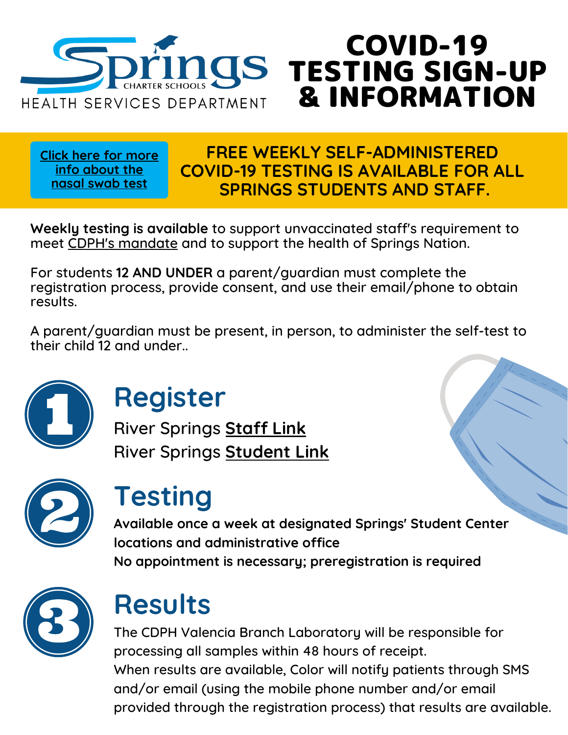

**Click here for more info [about](https://www.cdc.gov/coronavirus/2019-ncov/testing/How-To-Collect-Anterior-Nasal-Specimen-for-COVID-19.pdf) the nasal swab test**

#### **FREE WEEKLY SELF-ADMINISTERED COVID-19 TESTING IS AVAILABLE FOR ALL SPRINGS STUDENTS AND STAFF.**

COVID-19

TESTING SIGN-UP

& INFORMATION

**Weekly testing is available** to support unvaccinated staff's requirement to meet CDPH's [mandate](https://www.cdph.ca.gov/Programs/CID/DCDC/Pages/COVID-19/Order-of-the-State-Public-Health-Officer-Vaccine-Verification-for-Workers-in-Schools.aspx) and to support the health of Springs Nation.

For students **12 AND UNDER** a parent/guardian must complete the registration process, provide consent, and use their email/phone to obtain results.

A parent/guardian must be present, in person, to administer the self-test to their child 12 and under..



## **Register**

River Springs **[Staff](https://home.color.com/covid/sign-up/start?partner=cdph1442staff) Link** River Springs **[Student](https://home.color.com/covid/sign-up/start?partner=cdph1442students) Link**



## **Testing**

**Available once a week at designated Springs' Student Center locations and administrative office No appointment is necessary; preregistration is required**



# **Results**

The CDPH Valencia Branch Laboratory will be responsible for processing all samples within 48 hours of receipt. When results are available, Color will notify patients through SMS and/or email (using the mobile phone number and/or email provided through the registration process) that results are available.